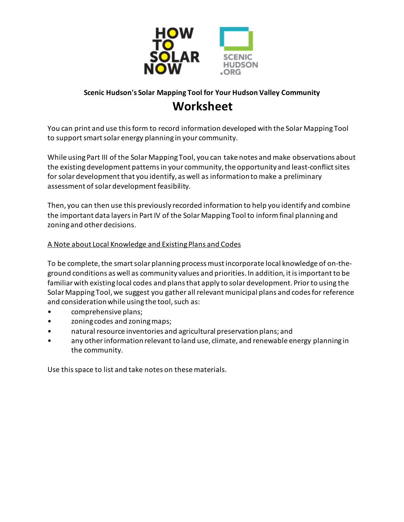

# **Scenic Hudson's Solar Mapping Tool for Your Hudson Valley Community Worksheet**

You can print and use this form to record information developed with the Solar Mapping Tool to support smart solar energy planning in your community.

While using Part III of the Solar Mapping Tool, you can take notes and make observations about the existing development patterns in your community, the opportunity and least-conflict sites for solar development that you identify, as well as information to make a preliminary assessment of solar development feasibility.

Then, you can then use this previously recorded information to help you identify and combine the important data layers in Part IV of the Solar Mapping Tool to inform final planning and zoning and other decisions.

# A Note about Local Knowledge and Existing Plans and Codes

To be complete, the smart solar planning process must incorporate local knowledge of on-theground conditions as well as community values and priorities. In addition, it is important to be familiar with existing local codes and plans that apply to solar development. Prior to using the Solar Mapping Tool, we suggest you gather all relevant municipal plans and codes for reference and consideration while using the tool, such as:

- comprehensive plans;
- zoning codes and zoning maps;
- natural resource inventories and agricultural preservation plans; and
- any other information relevant to land use, climate, and renewable energy planning in the community.

Use this space to list and take notes on these materials.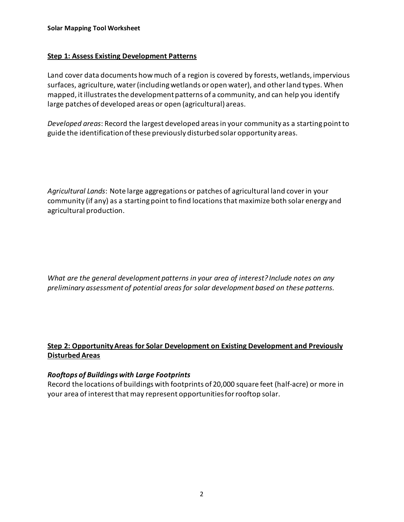## **Step 1: Assess Existing Development Patterns**

Land cover data documents how much of a region is covered by forests, wetlands, impervious surfaces, agriculture, water (including wetlands or open water), and other land types. When mapped, it illustrates the development patterns of a community, and can help you identify large patches of developed areas or open (agricultural) areas.

*Developed areas*: Record the largest developed areas in your community as a starting point to guide the identification of these previously disturbed solar opportunity areas.

*Agricultural Lands*: Note large aggregations or patches of agricultural land coverin your community (if any) as a starting point to find locations that maximize both solar energy and agricultural production.

*What are the general development patterns in your area of interest? Include notes on any preliminary assessment of potential areas for solar development based on these patterns.* 

# **Step 2: Opportunity Areas for Solar Development on Existing Development and Previously Disturbed Areas**

# *Rooftops of Buildings with Large Footprints*

Record the locations of buildings with footprints of 20,000 square feet (half-acre) or more in your area of interest that may represent opportunities for rooftop solar.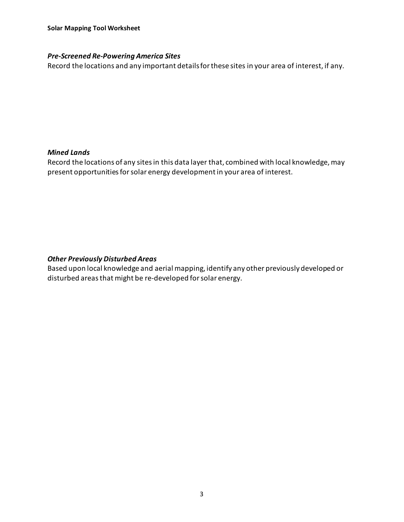## *Pre-Screened Re-Powering America Sites*

Record the locations and any important details forthese sites in your area of interest, if any.

### *Mined Lands*

Record the locations of any sites in this data layer that, combined with local knowledge, may present opportunities for solar energy development in your area of interest.

## *Other Previously Disturbed Areas*

Based upon local knowledge and aerial mapping, identify any other previously developed or disturbed areas that might be re-developed for solar energy.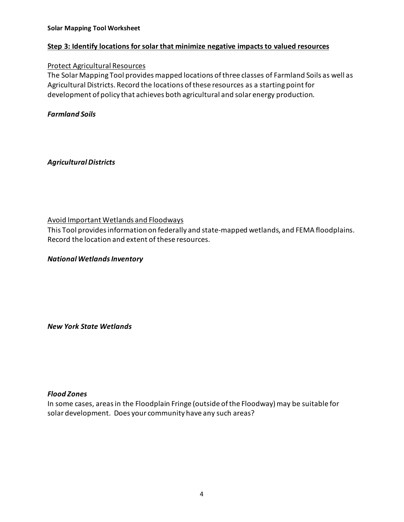#### **Solar Mapping Tool Worksheet**

#### **Step 3: Identify locations for solar that minimize negative impacts to valued resources**

#### Protect Agricultural Resources

The Solar Mapping Tool provides mapped locations of three classes of Farmland Soils as well as Agricultural Districts. Record the locations of these resources as a starting point for development of policy that achieves both agricultural and solar energy production.

### *Farmland Soils*

*Agricultural Districts* 

Avoid Important Wetlands and Floodways

This Tool providesinformation on federally and state-mapped wetlands, and FEMA floodplains. Record the location and extent of these resources.

*National Wetlands Inventory* 

*New York State Wetlands*

#### *Flood Zones*

In some cases, areas in the Floodplain Fringe (outside of the Floodway) may be suitable for solar development. Does your community have any such areas?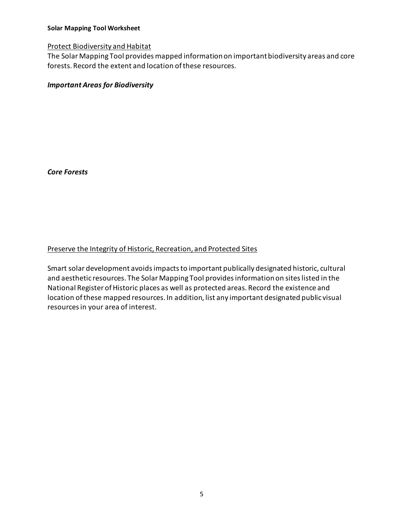#### **Solar Mapping Tool Worksheet**

#### Protect Biodiversity and Habitat

The Solar Mapping Tool provides mapped information on important biodiversity areas and core forests. Record the extent and location of these resources.

## *Important Areas for Biodiversity*

*Core Forests* 

### Preserve the Integrity of Historic, Recreation, and Protected Sites

Smart solar development avoids impacts to important publically designated historic, cultural and aesthetic resources. The Solar Mapping Tool provides information on sites listed in the National Register of Historic places as well as protected areas. Record the existence and location of these mapped resources. In addition, list any important designated public visual resourcesin your area of interest.